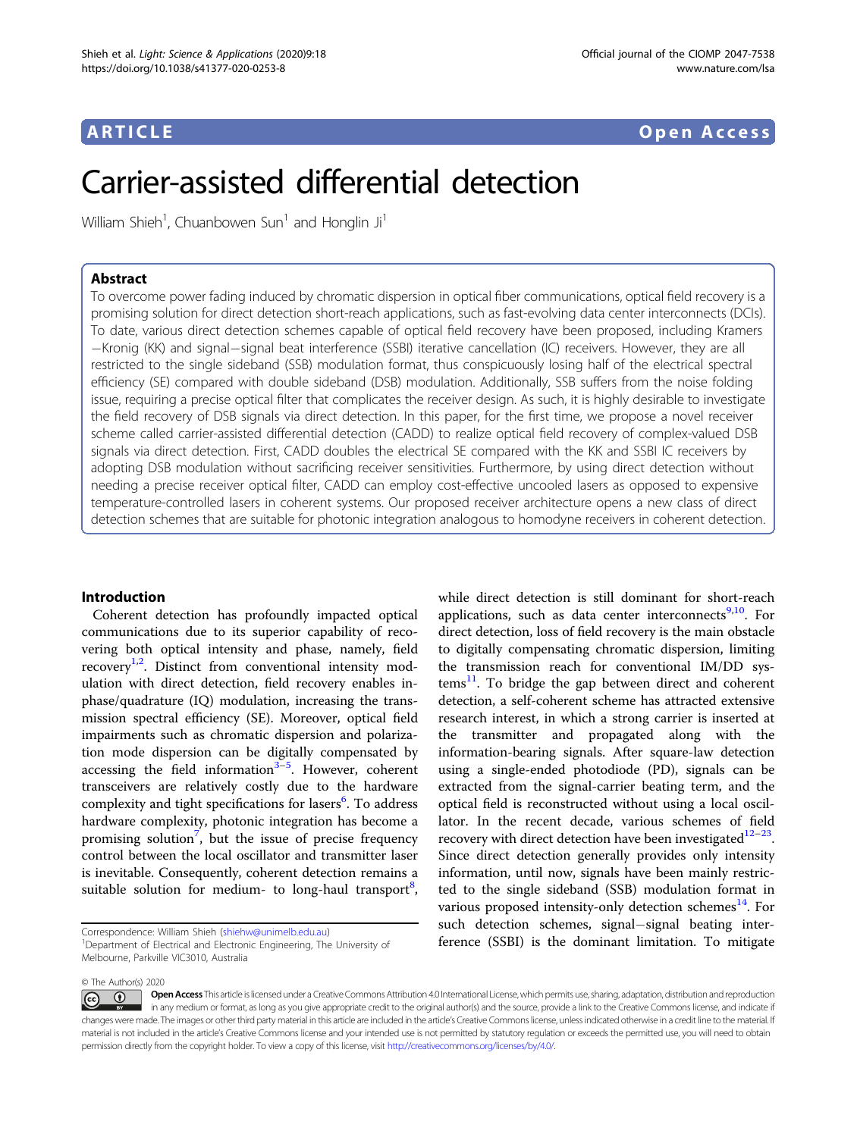## ARTICLE Open Access

# Carrier-assisted differential detection

William Shieh<sup>1</sup>, Chuanbowen Sun<sup>1</sup> and Honglin Ji<sup>1</sup>

#### Abstract

To overcome power fading induced by chromatic dispersion in optical fiber communications, optical field recovery is a promising solution for direct detection short-reach applications, such as fast-evolving data center interconnects (DCIs). To date, various direct detection schemes capable of optical field recovery have been proposed, including Kramers −Kronig (KK) and signal−signal beat interference (SSBI) iterative cancellation (IC) receivers. However, they are all restricted to the single sideband (SSB) modulation format, thus conspicuously losing half of the electrical spectral efficiency (SE) compared with double sideband (DSB) modulation. Additionally, SSB suffers from the noise folding issue, requiring a precise optical filter that complicates the receiver design. As such, it is highly desirable to investigate the field recovery of DSB signals via direct detection. In this paper, for the first time, we propose a novel receiver scheme called carrier-assisted differential detection (CADD) to realize optical field recovery of complex-valued DSB signals via direct detection. First, CADD doubles the electrical SE compared with the KK and SSBI IC receivers by adopting DSB modulation without sacrificing receiver sensitivities. Furthermore, by using direct detection without needing a precise receiver optical filter, CADD can employ cost-effective uncooled lasers as opposed to expensive temperature-controlled lasers in coherent systems. Our proposed receiver architecture opens a new class of direct detection schemes that are suitable for photonic integration analogous to homodyne receivers in coherent detection.

#### Introduction

Coherent detection has profoundly impacted optical communications due to its superior capability of recovering both optical intensity and phase, namely, field recovery<sup>[1](#page-7-0)[,2](#page-8-0)</sup>. Distinct from conventional intensity modulation with direct detection, field recovery enables inphase/quadrature (IQ) modulation, increasing the transmission spectral efficiency (SE). Moreover, optical field impairments such as chromatic dispersion and polarization mode dispersion can be digitally compensated by accessing the field information<sup>[3](#page-8-0)-[5](#page-8-0)</sup>. However, coherent transceivers are relatively costly due to the hardware complexity and tight specifications for lasers<sup>[6](#page-8-0)</sup>. To address hardware complexity, photonic integration has become a promising solution<sup>[7](#page-8-0)</sup>, but the issue of precise frequency control between the local oscillator and transmitter laser is inevitable. Consequently, coherent detection remains a suitable solution for medium- to long-haul transport<sup>[8](#page-8-0)</sup>,

while direct detection is still dominant for short-reach applications, such as data center interconnects<sup>9,10</sup>. For direct detection, loss of field recovery is the main obstacle to digitally compensating chromatic dispersion, limiting the transmission reach for conventional IM/DD sys- $tems<sup>11</sup>$  $tems<sup>11</sup>$  $tems<sup>11</sup>$ . To bridge the gap between direct and coherent detection, a self-coherent scheme has attracted extensive research interest, in which a strong carrier is inserted at the transmitter and propagated along with the information-bearing signals. After square-law detection using a single-ended photodiode (PD), signals can be extracted from the signal-carrier beating term, and the optical field is reconstructed without using a local oscillator. In the recent decade, various schemes of field recovery with direct detection have been investigated $12-23$  $12-23$  $12-23$ . Since direct detection generally provides only intensity information, until now, signals have been mainly restricted to the single sideband (SSB) modulation format in various proposed intensity-only detection schemes<sup>[14](#page-8-0)</sup>. For such detection schemes, signal−signal beating interference (SSBI) is the dominant limitation. To mitigate

© The Author(s) 2020

Correspondence: William Shieh ([shiehw@unimelb.edu.au](mailto:shiehw@unimelb.edu.au)) <sup>1</sup>

<sup>&</sup>lt;sup>1</sup>Department of Electrical and Electronic Engineering, The University of Melbourne, Parkville VIC3010, Australia

Open Access This article is licensed under a Creative Commons Attribution 4.0 International License, which permits use, sharing, adaptation, distribution and reproduction (i)  $\vert$  (cc) in any medium or format, as long as you give appropriate credit to the original author(s) and the source, provide a link to the Creative Commons license, and indicate if changes were made. The images or other third party material in this article are included in the article's Creative Commons license, unless indicated otherwise in a credit line to the material. If material is not included in the article's Creative Commons license and your intended use is not permitted by statutory regulation or exceeds the permitted use, you will need to obtain permission directly from the copyright holder. To view a copy of this license, visit <http://creativecommons.org/licenses/by/4.0/>.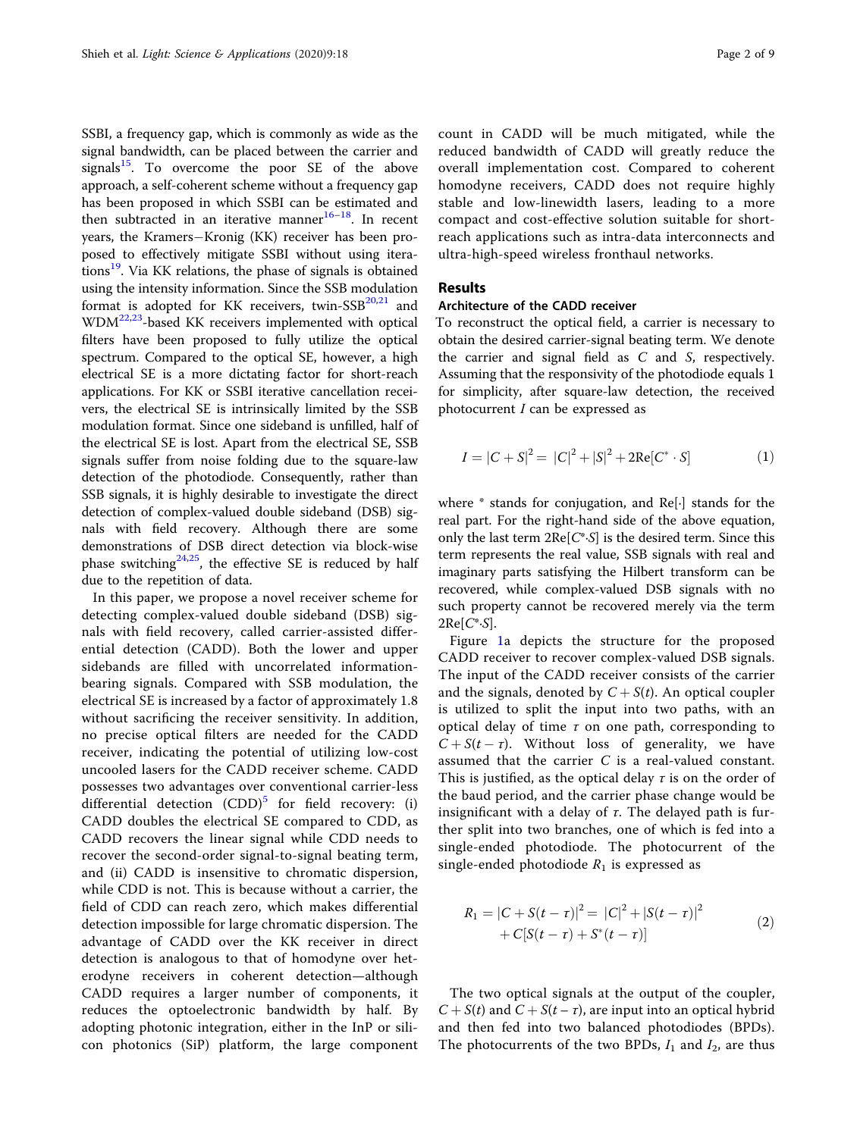SSBI, a frequency gap, which is commonly as wide as the signal bandwidth, can be placed between the carrier and signals $15$ . To overcome the poor SE of the above approach, a self-coherent scheme without a frequency gap has been proposed in which SSBI can be estimated and then subtracted in an iterative manner $16-18$  $16-18$  $16-18$ . In recent years, the Kramers−Kronig (KK) receiver has been proposed to effectively mitigate SSBI without using iterations<sup>19</sup>. Via KK relations, the phase of signals is obtained using the intensity information. Since the SSB modulation format is adopted for KK receivers, twin- $SSB^{20,21}$  $SSB^{20,21}$  $SSB^{20,21}$  $SSB^{20,21}$  $SSB^{20,21}$  and  $WDM<sup>22,23</sup>$  $WDM<sup>22,23</sup>$  $WDM<sup>22,23</sup>$  $WDM<sup>22,23</sup>$  $WDM<sup>22,23</sup>$ -based KK receivers implemented with optical filters have been proposed to fully utilize the optical spectrum. Compared to the optical SE, however, a high electrical SE is a more dictating factor for short-reach applications. For KK or SSBI iterative cancellation receivers, the electrical SE is intrinsically limited by the SSB modulation format. Since one sideband is unfilled, half of the electrical SE is lost. Apart from the electrical SE, SSB signals suffer from noise folding due to the square-law detection of the photodiode. Consequently, rather than SSB signals, it is highly desirable to investigate the direct detection of complex-valued double sideband (DSB) signals with field recovery. Although there are some demonstrations of DSB direct detection via block-wise phase switching<sup>24,25</sup>, the effective SE is reduced by half due to the repetition of data.

In this paper, we propose a novel receiver scheme for detecting complex-valued double sideband (DSB) signals with field recovery, called carrier-assisted differential detection (CADD). Both the lower and upper sidebands are filled with uncorrelated informationbearing signals. Compared with SSB modulation, the electrical SE is increased by a factor of approximately 1.8 without sacrificing the receiver sensitivity. In addition, no precise optical filters are needed for the CADD receiver, indicating the potential of utilizing low-cost uncooled lasers for the CADD receiver scheme. CADD possesses two advantages over conventional carrier-less differential detection  $(CDD)^5$  $(CDD)^5$  for field recovery: (i) CADD doubles the electrical SE compared to CDD, as CADD recovers the linear signal while CDD needs to recover the second-order signal-to-signal beating term, and (ii) CADD is insensitive to chromatic dispersion, while CDD is not. This is because without a carrier, the field of CDD can reach zero, which makes differential detection impossible for large chromatic dispersion. The advantage of CADD over the KK receiver in direct detection is analogous to that of homodyne over heterodyne receivers in coherent detection—although CADD requires a larger number of components, it reduces the optoelectronic bandwidth by half. By adopting photonic integration, either in the InP or silicon photonics (SiP) platform, the large component

count in CADD will be much mitigated, while the reduced bandwidth of CADD will greatly reduce the overall implementation cost. Compared to coherent homodyne receivers, CADD does not require highly stable and low-linewidth lasers, leading to a more compact and cost-effective solution suitable for shortreach applications such as intra-data interconnects and ultra-high-speed wireless fronthaul networks.

### **Results**

#### Architecture of the CADD receiver

To reconstruct the optical field, a carrier is necessary to obtain the desired carrier-signal beating term. We denote the carrier and signal field as C and S, respectively. Assuming that the responsivity of the photodiode equals 1 for simplicity, after square-law detection, the received photocurrent  $I$  can be expressed as

$$
I = |C + S|^2 = |C|^2 + |S|^2 + 2\text{Re}[C^* \cdot S]
$$
 (1)

where \* stands for conjugation, and Re[·] stands for the real part. For the right-hand side of the above equation, only the last term  $2Re[C^*S]$  is the desired term. Since this term represents the real value, SSB signals with real and imaginary parts satisfying the Hilbert transform can be recovered, while complex-valued DSB signals with no such property cannot be recovered merely via the term  $2Re[C^*S].$ 

Figure [1a](#page-2-0) depicts the structure for the proposed CADD receiver to recover complex-valued DSB signals. The input of the CADD receiver consists of the carrier and the signals, denoted by  $C + S(t)$ . An optical coupler is utilized to split the input into two paths, with an optical delay of time  $\tau$  on one path, corresponding to  $C + S(t - \tau)$ . Without loss of generality, we have assumed that the carrier C is a real-valued constant. This is justified, as the optical delay  $\tau$  is on the order of the baud period, and the carrier phase change would be insignificant with a delay of  $\tau$ . The delayed path is further split into two branches, one of which is fed into a single-ended photodiode. The photocurrent of the single-ended photodiode  $R_1$  is expressed as

$$
R_1 = |C + S(t - \tau)|^2 = |C|^2 + |S(t - \tau)|^2
$$
  
+ 
$$
C[S(t - \tau) + S^*(t - \tau)]
$$
 (2)

The two optical signals at the output of the coupler,  $C + S(t)$  and  $C + S(t - \tau)$ , are input into an optical hybrid and then fed into two balanced photodiodes (BPDs). The photocurrents of the two BPDs,  $I_1$  and  $I_2$ , are thus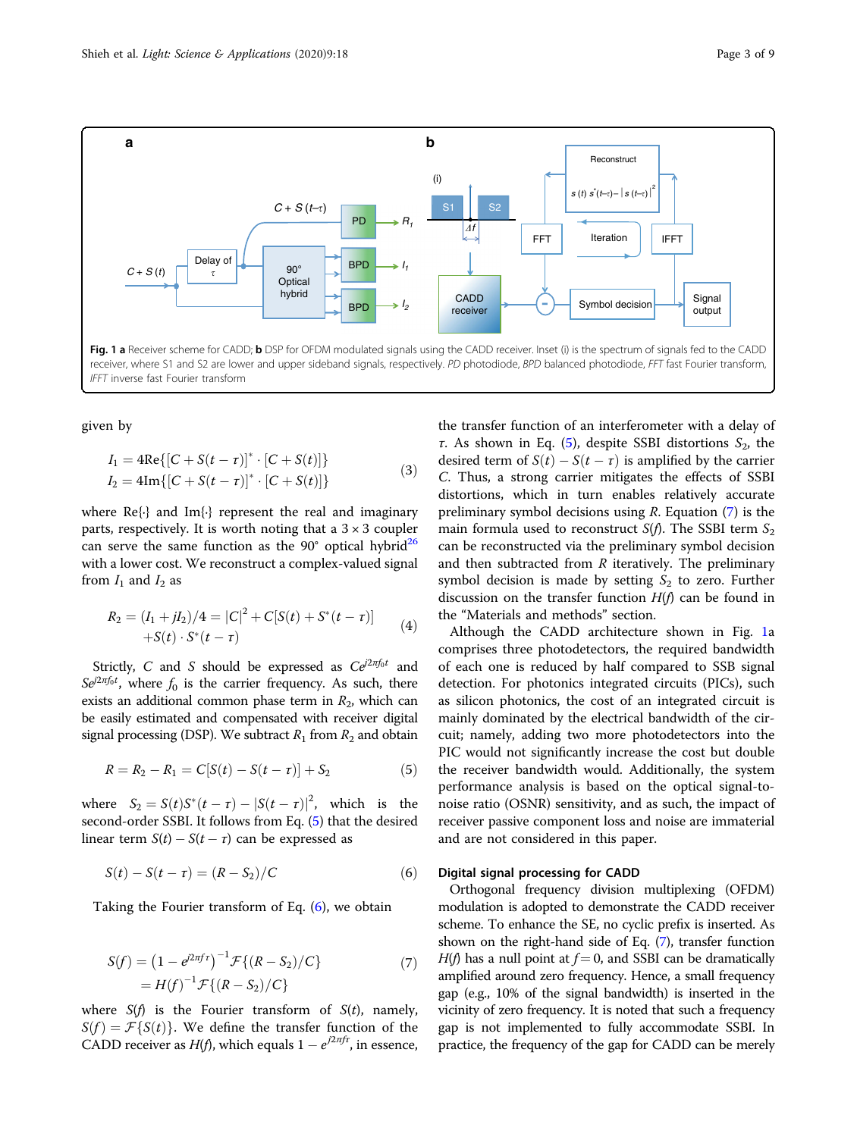<span id="page-2-0"></span>

given by

$$
I_1 = 4\text{Re}\{ [C + S(t - \tau)]^* \cdot [C + S(t)] \}
$$
  
\n
$$
I_2 = 4\text{Im}\{ [C + S(t - \tau)]^* \cdot [C + S(t)] \}
$$
\n(3)

where  $\text{Re}\{\cdot\}$  and  $\text{Im}\{\cdot\}$  represent the real and imaginary parts, respectively. It is worth noting that a  $3 \times 3$  coupler can serve the same function as the  $90^{\circ}$  optical hybrid<sup>[26](#page-8-0)</sup> with a lower cost. We reconstruct a complex-valued signal from  $I_1$  and  $I_2$  as

$$
R_2 = (I_1 + jI_2)/4 = |C|^2 + C[S(t) + S^*(t - \tau)]
$$
  
+
$$
S(t) \cdot S^*(t - \tau)
$$
 (4)

Strictly, C and S should be expressed as  $Ce^{i2\pi f_0 t}$  and  $Se^{i2\pi f_0t}$ , where  $f_0$  is the carrier frequency. As such, there exists an additional common phase term in  $P_1$ , which can exists an additional common phase term in  $R_2$ , which can be easily estimated and compensated with receiver digital signal processing (DSP). We subtract  $R_1$  from  $R_2$  and obtain

$$
R = R_2 - R_1 = C[S(t) - S(t - \tau)] + S_2
$$
 (5)

where  $S_2 = S(t)S^*(t-\tau) - |S(t-\tau)|^2$ , which is the second-order SSBL It follows from Eq. (5) that the desired second-order SSBI. It follows from Eq. (5) that the desired linear term  $S(t) - S(t - \tau)$  can be expressed as

$$
S(t) - S(t - \tau) = (R - S_2) / C \tag{6}
$$

Taking the Fourier transform of Eq. (6), we obtain

$$
S(f) = (1 - e^{j2\pi f \tau})^{-1} \mathcal{F}\{(R - S_2)/C\}
$$
  
=  $H(f)^{-1} \mathcal{F}\{(R - S_2)/C\}$  (7)

where  $S(f)$  is the Fourier transform of  $S(t)$ , namely,  $S(f) = \mathcal{F}{S(t)}$ . We define the transfer function of the CADD receiver as  $H(f)$ , which equals  $1 - e^{i2\pi f \tau}$ , in essence,

the transfer function of an interferometer with a delay of τ. As shown in Eq. (5), despite SSBI distortions  $S_2$ , the desired term of  $S(t) - S(t - \tau)$  is amplified by the carrier C. Thus, a strong carrier mitigates the effects of SSBI distortions, which in turn enables relatively accurate preliminary symbol decisions using  $R$ . Equation  $(7)$  is the main formula used to reconstruct  $S(f)$ . The SSBI term  $S_2$ can be reconstructed via the preliminary symbol decision and then subtracted from  $R$  iteratively. The preliminary symbol decision is made by setting  $S_2$  to zero. Further discussion on the transfer function  $H(f)$  can be found in the "Materials and methods" section.

Although the CADD architecture shown in Fig. 1a comprises three photodetectors, the required bandwidth of each one is reduced by half compared to SSB signal detection. For photonics integrated circuits (PICs), such as silicon photonics, the cost of an integrated circuit is mainly dominated by the electrical bandwidth of the circuit; namely, adding two more photodetectors into the PIC would not significantly increase the cost but double the receiver bandwidth would. Additionally, the system performance analysis is based on the optical signal-tonoise ratio (OSNR) sensitivity, and as such, the impact of receiver passive component loss and noise are immaterial and are not considered in this paper.

#### Digital signal processing for CADD

Orthogonal frequency division multiplexing (OFDM) modulation is adopted to demonstrate the CADD receiver scheme. To enhance the SE, no cyclic prefix is inserted. As shown on the right-hand side of Eq. (7), transfer function  $H(f)$  has a null point at  $f = 0$ , and SSBI can be dramatically amplified around zero frequency. Hence, a small frequency gap (e.g., 10% of the signal bandwidth) is inserted in the vicinity of zero frequency. It is noted that such a frequency gap is not implemented to fully accommodate SSBI. In practice, the frequency of the gap for CADD can be merely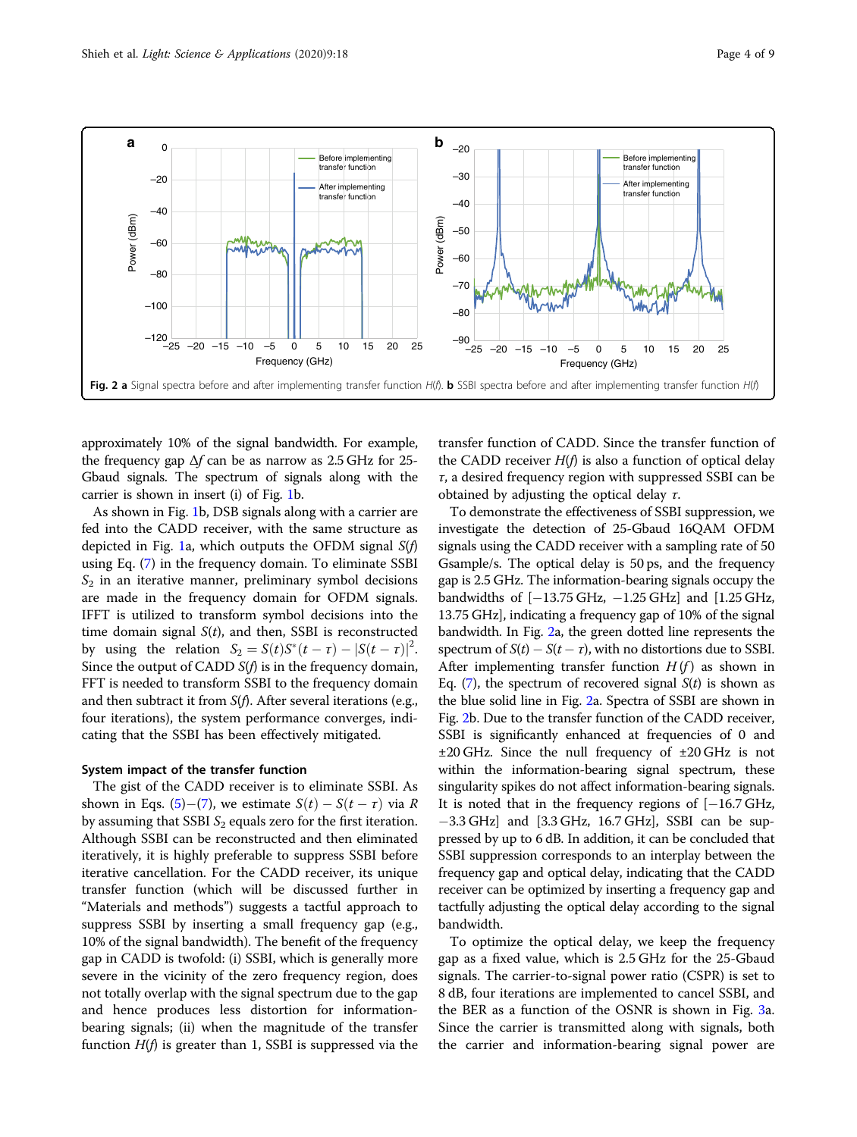

approximately 10% of the signal bandwidth. For example, the frequency gap  $\Delta f$  can be as narrow as 2.5 GHz for 25-Gbaud signals. The spectrum of signals along with the carrier is shown in insert (i) of Fig. [1](#page-2-0)b.

As shown in Fig. [1](#page-2-0)b, DSB signals along with a carrier are fed into the CADD receiver, with the same structure as depicted in Fig. [1a](#page-2-0), which outputs the OFDM signal  $S(f)$ using Eq. [\(7](#page-2-0)) in the frequency domain. To eliminate SSBI  $S<sub>2</sub>$  in an iterative manner, preliminary symbol decisions are made in the frequency domain for OFDM signals. IFFT is utilized to transform symbol decisions into the time domain signal  $S(t)$ , and then, SSBI is reconstructed by using the relation  $S_2 = S(t)S^*(t-\tau) - |S(t-\tau)|^2$ .<br>Since the output of CADD S(A is in the frequency domain Since the output of CADD  $S(f)$  is in the frequency domain, FFT is needed to transform SSBI to the frequency domain and then subtract it from  $S(f)$ . After several iterations (e.g., four iterations), the system performance converges, indicating that the SSBI has been effectively mitigated.

#### System impact of the transfer function

The gist of the CADD receiver is to eliminate SSBI. As shown in Eqs. [\(5](#page-2-0))–([7\)](#page-2-0), we estimate  $S(t) - S(t - \tau)$  via R by assuming that SSBI  $S_2$  equals zero for the first iteration. Although SSBI can be reconstructed and then eliminated iteratively, it is highly preferable to suppress SSBI before iterative cancellation. For the CADD receiver, its unique transfer function (which will be discussed further in "Materials and methods") suggests a tactful approach to suppress SSBI by inserting a small frequency gap (e.g., 10% of the signal bandwidth). The benefit of the frequency gap in CADD is twofold: (i) SSBI, which is generally more severe in the vicinity of the zero frequency region, does not totally overlap with the signal spectrum due to the gap and hence produces less distortion for informationbearing signals; (ii) when the magnitude of the transfer function  $H(f)$  is greater than 1, SSBI is suppressed via the transfer function of CADD. Since the transfer function of the CADD receiver  $H(f)$  is also a function of optical delay  $\tau$ , a desired frequency region with suppressed SSBI can be obtained by adjusting the optical delay  $\tau$ .

To demonstrate the effectiveness of SSBI suppression, we investigate the detection of 25-Gbaud 16QAM OFDM signals using the CADD receiver with a sampling rate of 50 Gsample/s. The optical delay is 50 ps, and the frequency gap is 2.5 GHz. The information-bearing signals occupy the bandwidths of [−13.75 GHz, −1.25 GHz] and [1.25 GHz, 13.75 GHz], indicating a frequency gap of 10% of the signal bandwidth. In Fig. 2a, the green dotted line represents the spectrum of  $S(t) - S(t - \tau)$ , with no distortions due to SSBI. After implementing transfer function  $H(f)$  as shown in Eq. ([7\)](#page-2-0), the spectrum of recovered signal  $S(t)$  is shown as the blue solid line in Fig. 2a. Spectra of SSBI are shown in Fig. 2b. Due to the transfer function of the CADD receiver, SSBI is significantly enhanced at frequencies of 0 and ±20 GHz. Since the null frequency of ±20 GHz is not within the information-bearing signal spectrum, these singularity spikes do not affect information-bearing signals. It is noted that in the frequency regions of [−16.7 GHz, −3.3 GHz] and [3.3 GHz, 16.7 GHz], SSBI can be suppressed by up to 6 dB. In addition, it can be concluded that SSBI suppression corresponds to an interplay between the frequency gap and optical delay, indicating that the CADD receiver can be optimized by inserting a frequency gap and tactfully adjusting the optical delay according to the signal bandwidth.

To optimize the optical delay, we keep the frequency gap as a fixed value, which is 2.5 GHz for the 25-Gbaud signals. The carrier-to-signal power ratio (CSPR) is set to 8 dB, four iterations are implemented to cancel SSBI, and the BER as a function of the OSNR is shown in Fig. [3](#page-4-0)a. Since the carrier is transmitted along with signals, both the carrier and information-bearing signal power are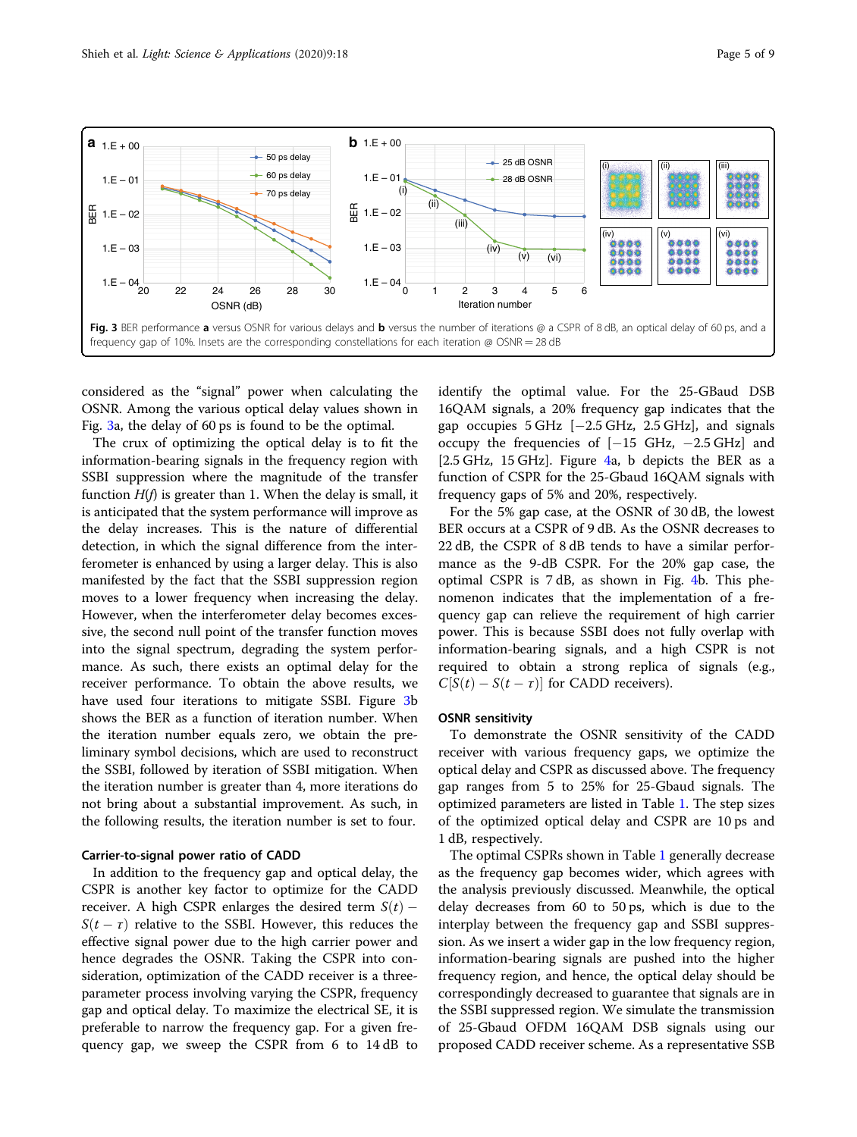<span id="page-4-0"></span>

considered as the "signal" power when calculating the OSNR. Among the various optical delay values shown in Fig. 3a, the delay of 60 ps is found to be the optimal.

The crux of optimizing the optical delay is to fit the information-bearing signals in the frequency region with SSBI suppression where the magnitude of the transfer function  $H(f)$  is greater than 1. When the delay is small, it is anticipated that the system performance will improve as the delay increases. This is the nature of differential detection, in which the signal difference from the interferometer is enhanced by using a larger delay. This is also manifested by the fact that the SSBI suppression region moves to a lower frequency when increasing the delay. However, when the interferometer delay becomes excessive, the second null point of the transfer function moves into the signal spectrum, degrading the system performance. As such, there exists an optimal delay for the receiver performance. To obtain the above results, we have used four iterations to mitigate SSBI. Figure 3b shows the BER as a function of iteration number. When the iteration number equals zero, we obtain the preliminary symbol decisions, which are used to reconstruct the SSBI, followed by iteration of SSBI mitigation. When the iteration number is greater than 4, more iterations do not bring about a substantial improvement. As such, in the following results, the iteration number is set to four.

#### Carrier-to-signal power ratio of CADD

In addition to the frequency gap and optical delay, the CSPR is another key factor to optimize for the CADD receiver. A high CSPR enlarges the desired term  $S(t)$  –  $S(t - \tau)$  relative to the SSBI. However, this reduces the effective signal power due to the high carrier power and hence degrades the OSNR. Taking the CSPR into consideration, optimization of the CADD receiver is a threeparameter process involving varying the CSPR, frequency gap and optical delay. To maximize the electrical SE, it is preferable to narrow the frequency gap. For a given frequency gap, we sweep the CSPR from 6 to 14 dB to identify the optimal value. For the 25-GBaud DSB 16QAM signals, a 20% frequency gap indicates that the gap occupies  $5 \text{ GHz}$  [−2.5 GHz, 2.5 GHz], and signals occupy the frequencies of [−15 GHz, −2.5 GHz] and [2.5 GHz, 15 GHz]. Figure [4a](#page-5-0), b depicts the BER as a function of CSPR for the 25-Gbaud 16QAM signals with frequency gaps of 5% and 20%, respectively.

For the 5% gap case, at the OSNR of 30 dB, the lowest BER occurs at a CSPR of 9 dB. As the OSNR decreases to 22 dB, the CSPR of 8 dB tends to have a similar performance as the 9-dB CSPR. For the 20% gap case, the optimal CSPR is 7 dB, as shown in Fig. [4](#page-5-0)b. This phenomenon indicates that the implementation of a frequency gap can relieve the requirement of high carrier power. This is because SSBI does not fully overlap with information-bearing signals, and a high CSPR is not required to obtain a strong replica of signals (e.g.,  $C[S(t) - S(t - \tau)]$  for CADD receivers).

#### OSNR sensitivity

To demonstrate the OSNR sensitivity of the CADD receiver with various frequency gaps, we optimize the optical delay and CSPR as discussed above. The frequency gap ranges from 5 to 25% for 25-Gbaud signals. The optimized parameters are listed in Table [1.](#page-5-0) The step sizes of the optimized optical delay and CSPR are 10 ps and 1 dB, respectively.

The optimal CSPRs shown in Table [1](#page-5-0) generally decrease as the frequency gap becomes wider, which agrees with the analysis previously discussed. Meanwhile, the optical delay decreases from 60 to 50 ps, which is due to the interplay between the frequency gap and SSBI suppression. As we insert a wider gap in the low frequency region, information-bearing signals are pushed into the higher frequency region, and hence, the optical delay should be correspondingly decreased to guarantee that signals are in the SSBI suppressed region. We simulate the transmission of 25-Gbaud OFDM 16QAM DSB signals using our proposed CADD receiver scheme. As a representative SSB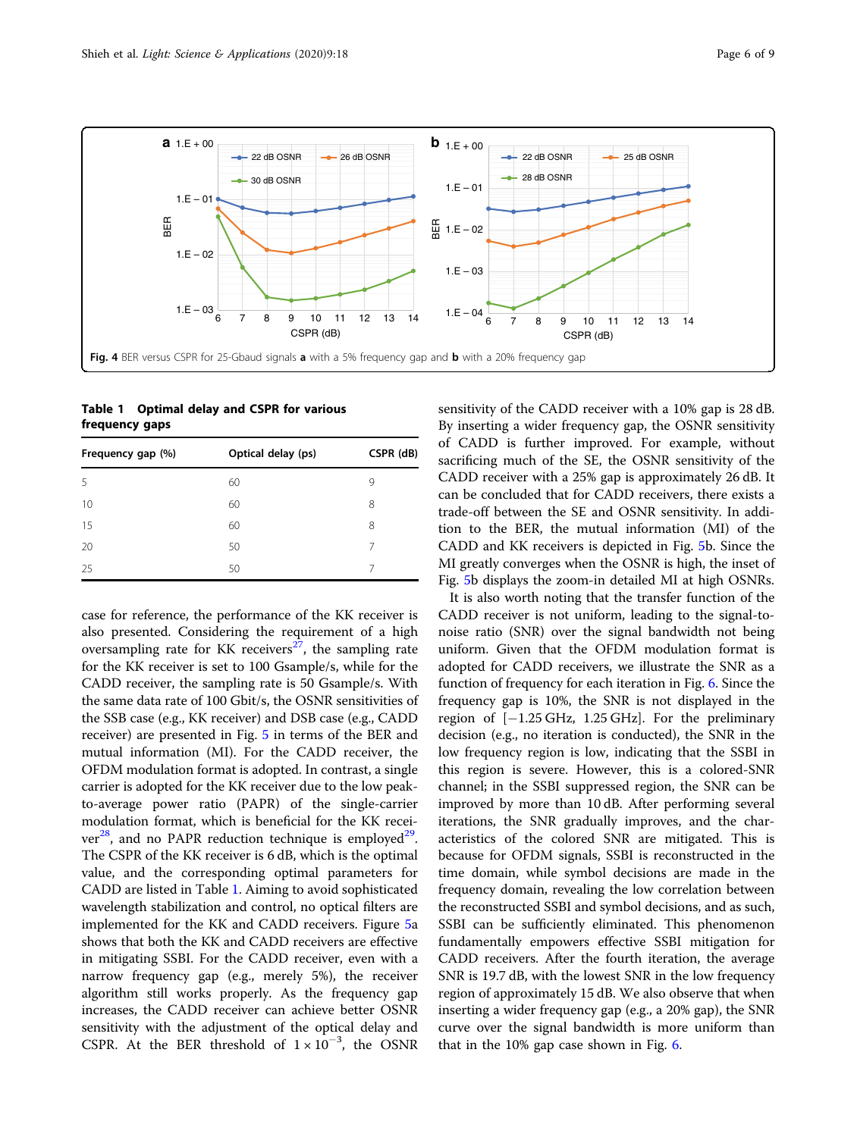<span id="page-5-0"></span>

Table 1 Optimal delay and CSPR for various frequency gaps

| Frequency gap (%) | Optical delay (ps) | CSPR (dB) |
|-------------------|--------------------|-----------|
| 5                 | 60                 | 9         |
| 10                | 60                 | 8         |
| 15                | 60                 | 8         |
| 20                | 50                 |           |
| 25                | 50                 |           |

case for reference, the performance of the KK receiver is also presented. Considering the requirement of a high oversampling rate for KK receivers $27$ , the sampling rate for the KK receiver is set to 100 Gsample/s, while for the CADD receiver, the sampling rate is 50 Gsample/s. With the same data rate of 100 Gbit/s, the OSNR sensitivities of the SSB case (e.g., KK receiver) and DSB case (e.g., CADD receiver) are presented in Fig. [5](#page-6-0) in terms of the BER and mutual information (MI). For the CADD receiver, the OFDM modulation format is adopted. In contrast, a single carrier is adopted for the KK receiver due to the low peakto-average power ratio (PAPR) of the single-carrier modulation format, which is beneficial for the KK recei $ver^{28}$ , and no PAPR reduction technique is employed<sup>29</sup>. The CSPR of the KK receiver is 6 dB, which is the optimal value, and the corresponding optimal parameters for CADD are listed in Table 1. Aiming to avoid sophisticated wavelength stabilization and control, no optical filters are implemented for the KK and CADD receivers. Figure [5](#page-6-0)a shows that both the KK and CADD receivers are effective in mitigating SSBI. For the CADD receiver, even with a narrow frequency gap (e.g., merely 5%), the receiver algorithm still works properly. As the frequency gap increases, the CADD receiver can achieve better OSNR sensitivity with the adjustment of the optical delay and CSPR. At the BER threshold of  $1 \times 10^{-3}$ , the OSNR

sensitivity of the CADD receiver with a 10% gap is 28 dB. By inserting a wider frequency gap, the OSNR sensitivity of CADD is further improved. For example, without sacrificing much of the SE, the OSNR sensitivity of the CADD receiver with a 25% gap is approximately 26 dB. It can be concluded that for CADD receivers, there exists a trade-off between the SE and OSNR sensitivity. In addition to the BER, the mutual information (MI) of the CADD and KK receivers is depicted in Fig. [5](#page-6-0)b. Since the MI greatly converges when the OSNR is high, the inset of Fig. [5](#page-6-0)b displays the zoom-in detailed MI at high OSNRs.

It is also worth noting that the transfer function of the CADD receiver is not uniform, leading to the signal-tonoise ratio (SNR) over the signal bandwidth not being uniform. Given that the OFDM modulation format is adopted for CADD receivers, we illustrate the SNR as a function of frequency for each iteration in Fig. [6](#page-6-0). Since the frequency gap is 10%, the SNR is not displayed in the region of  $[-1.25 \text{ GHz}, 1.25 \text{ GHz}]$ . For the preliminary decision (e.g., no iteration is conducted), the SNR in the low frequency region is low, indicating that the SSBI in this region is severe. However, this is a colored-SNR channel; in the SSBI suppressed region, the SNR can be improved by more than 10 dB. After performing several iterations, the SNR gradually improves, and the characteristics of the colored SNR are mitigated. This is because for OFDM signals, SSBI is reconstructed in the time domain, while symbol decisions are made in the frequency domain, revealing the low correlation between the reconstructed SSBI and symbol decisions, and as such, SSBI can be sufficiently eliminated. This phenomenon fundamentally empowers effective SSBI mitigation for CADD receivers. After the fourth iteration, the average SNR is 19.7 dB, with the lowest SNR in the low frequency region of approximately 15 dB. We also observe that when inserting a wider frequency gap (e.g., a 20% gap), the SNR curve over the signal bandwidth is more uniform than that in the 10% gap case shown in Fig. [6](#page-6-0).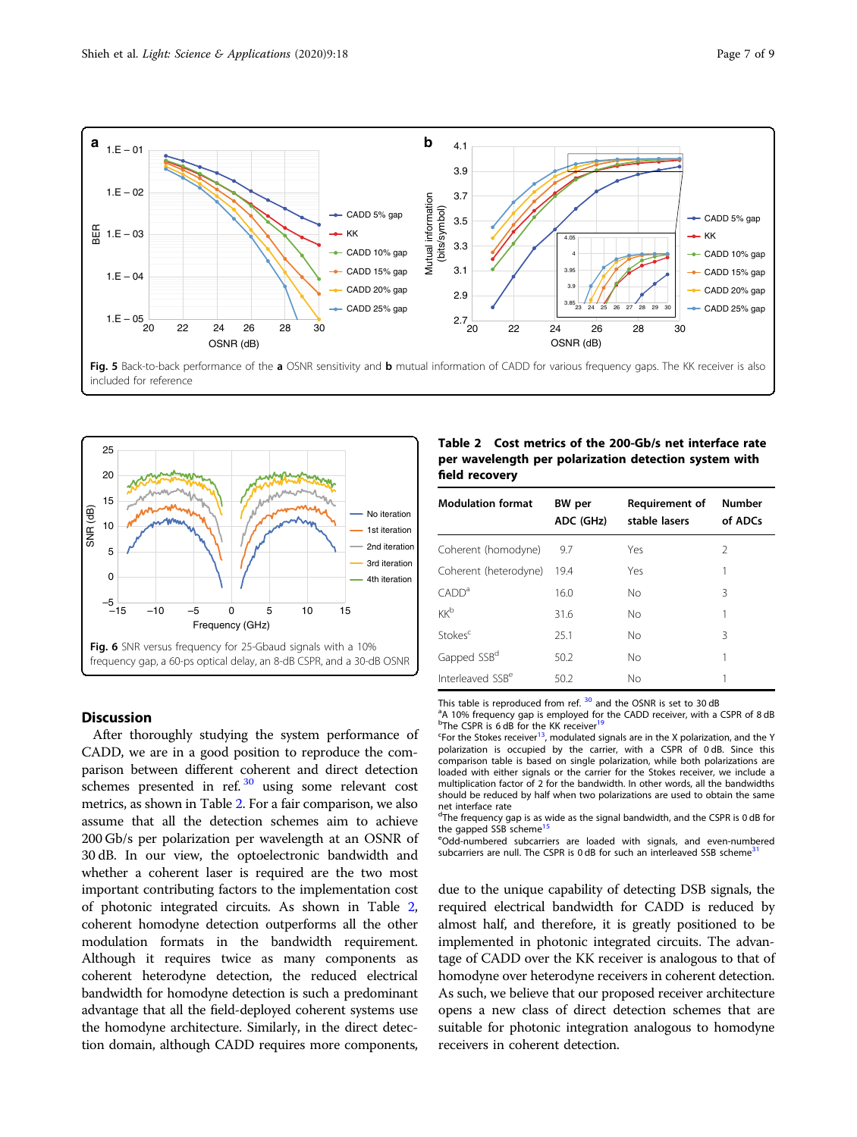<span id="page-6-0"></span>

Fig. 5 Back-to-back performance of the a OSNR sensitivity and b mutual information of CADD for various frequency gaps. The KK receiver is also included for reference



#### **Discussion**

After thoroughly studying the system performance of CADD, we are in a good position to reproduce the comparison between different coherent and direct detection schemes presented in ref.  $\frac{30}{2}$  $\frac{30}{2}$  $\frac{30}{2}$  using some relevant cost metrics, as shown in Table 2. For a fair comparison, we also assume that all the detection schemes aim to achieve 200 Gb/s per polarization per wavelength at an OSNR of 30 dB. In our view, the optoelectronic bandwidth and whether a coherent laser is required are the two most important contributing factors to the implementation cost of photonic integrated circuits. As shown in Table 2, coherent homodyne detection outperforms all the other modulation formats in the bandwidth requirement. Although it requires twice as many components as coherent heterodyne detection, the reduced electrical bandwidth for homodyne detection is such a predominant advantage that all the field-deployed coherent systems use the homodyne architecture. Similarly, in the direct detection domain, although CADD requires more components,

|                | Table 2 Cost metrics of the 200-Gb/s net interface rate |
|----------------|---------------------------------------------------------|
|                | per wavelength per polarization detection system with   |
| field recovery |                                                         |

| <b>Modulation format</b>     | BW per<br>ADC (GHz) | Requirement of<br>stable lasers | Number<br>of ADCs |
|------------------------------|---------------------|---------------------------------|-------------------|
| Coherent (homodyne)          | 9.7                 | Yes                             | $\mathcal{P}$     |
| Coherent (heterodyne)        | 19.4                | Yes                             |                   |
| $\mathsf{CADD}^a$            | 16.0                | No                              | 3                 |
| <b>KK</b> b                  | 31.6                | No                              | 1                 |
| Stokes <sup>c</sup>          | 25.1                | No                              | 3                 |
| Gapped SSB <sup>d</sup>      | 50.2                | No                              |                   |
| Interleaved SSB <sup>e</sup> | 50.2                | No                              |                   |

This table is reproduced from ref.  $30$  and the OSNR is set to 30 dB

<sup>a</sup>A 10% frequency gap is employed for the CADD receiver, with a CSPR of 8 dB<br><sup>b</sup>The CSPR is 6 dB for the KK receiver<sup>[19](#page-8-0)</sup>

<sup>c</sup>For the Stokes receiver<sup>13</sup>, modulated signals are in the X polarization, and the Y polarization is occupied by the carrier, with a CSPR of 0 dB. Since this comparison table is based on single polarization, while both polarizations are loaded with either signals or the carrier for the Stokes receiver, we include a multiplication factor of 2 for the bandwidth. In other words, all the bandwidths should be reduced by half when two polarizations are used to obtain the same net interface rate

<sup>d</sup>The frequency gap is as wide as the signal bandwidth, and the CSPR is 0 dB for the gapped SSB scheme<sup>[15](#page-8-0)</sup>

eOdd-numbered subcarriers are loaded with signals, and even-numbered subcarriers are null. The CSPR is 0 dB for such an interleaved SSB scheme<sup>3</sup>

due to the unique capability of detecting DSB signals, the required electrical bandwidth for CADD is reduced by almost half, and therefore, it is greatly positioned to be implemented in photonic integrated circuits. The advantage of CADD over the KK receiver is analogous to that of homodyne over heterodyne receivers in coherent detection. As such, we believe that our proposed receiver architecture opens a new class of direct detection schemes that are suitable for photonic integration analogous to homodyne receivers in coherent detection.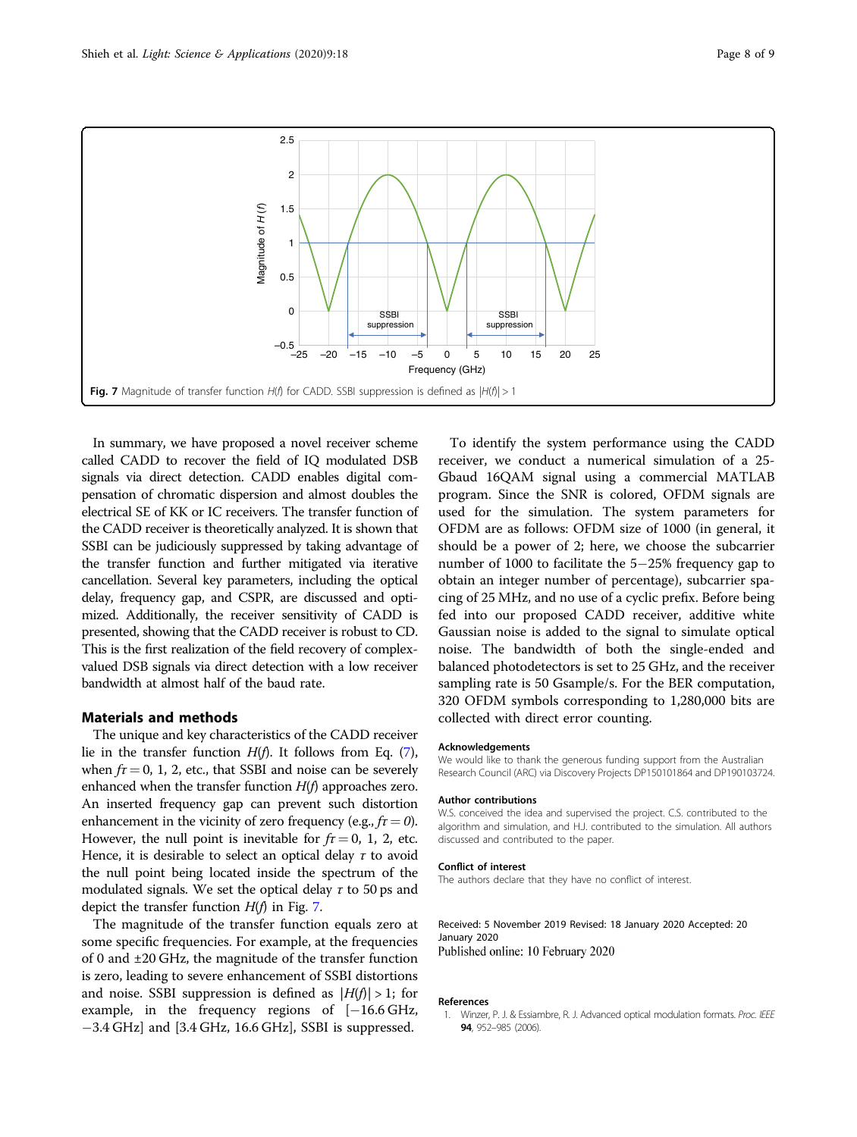<span id="page-7-0"></span>

In summary, we have proposed a novel receiver scheme called CADD to recover the field of IQ modulated DSB signals via direct detection. CADD enables digital compensation of chromatic dispersion and almost doubles the electrical SE of KK or IC receivers. The transfer function of the CADD receiver is theoretically analyzed. It is shown that SSBI can be judiciously suppressed by taking advantage of the transfer function and further mitigated via iterative cancellation. Several key parameters, including the optical delay, frequency gap, and CSPR, are discussed and optimized. Additionally, the receiver sensitivity of CADD is presented, showing that the CADD receiver is robust to CD. This is the first realization of the field recovery of complexvalued DSB signals via direct detection with a low receiver bandwidth at almost half of the baud rate.

#### Materials and methods

The unique and key characteristics of the CADD receiver lie in the transfer function  $H(f)$ . It follows from Eq. ([7](#page-2-0)), when  $f_1 = 0$ , 1, 2, etc., that SSBI and noise can be severely enhanced when the transfer function  $H(f)$  approaches zero. An inserted frequency gap can prevent such distortion enhancement in the vicinity of zero frequency (e.g.,  $f_{\tau} = 0$ ). However, the null point is inevitable for  $f_1 = 0$ , 1, 2, etc. Hence, it is desirable to select an optical delay  $\tau$  to avoid the null point being located inside the spectrum of the modulated signals. We set the optical delay  $\tau$  to 50 ps and depict the transfer function  $H(f)$  in Fig. 7.

The magnitude of the transfer function equals zero at some specific frequencies. For example, at the frequencies of 0 and ±20 GHz, the magnitude of the transfer function is zero, leading to severe enhancement of SSBI distortions and noise. SSBI suppression is defined as  $|H(f)| > 1$ ; for example, in the frequency regions of [−16.6 GHz, −3.4 GHz] and [3.4 GHz, 16.6 GHz], SSBI is suppressed.

To identify the system performance using the CADD receiver, we conduct a numerical simulation of a 25- Gbaud 16QAM signal using a commercial MATLAB program. Since the SNR is colored, OFDM signals are used for the simulation. The system parameters for OFDM are as follows: OFDM size of 1000 (in general, it should be a power of 2; here, we choose the subcarrier number of 1000 to facilitate the 5−25% frequency gap to obtain an integer number of percentage), subcarrier spacing of 25 MHz, and no use of a cyclic prefix. Before being fed into our proposed CADD receiver, additive white Gaussian noise is added to the signal to simulate optical noise. The bandwidth of both the single-ended and balanced photodetectors is set to 25 GHz, and the receiver sampling rate is 50 Gsample/s. For the BER computation, 320 OFDM symbols corresponding to 1,280,000 bits are collected with direct error counting.

#### Acknowledgements

We would like to thank the generous funding support from the Australian Research Council (ARC) via Discovery Projects DP150101864 and DP190103724.

#### Author contributions

W.S. conceived the idea and supervised the project. C.S. contributed to the algorithm and simulation, and H.J. contributed to the simulation. All authors discussed and contributed to the paper.

#### Conflict of interest

The authors declare that they have no conflict of interest.

Received: 5 November 2019 Revised: 18 January 2020 Accepted: 20 January 2020 Published online: 10 February 2020

#### References

Winzer, P. J. & Essiambre, R. J. Advanced optical modulation formats. Proc. IEEE 94, 952–985 (2006).